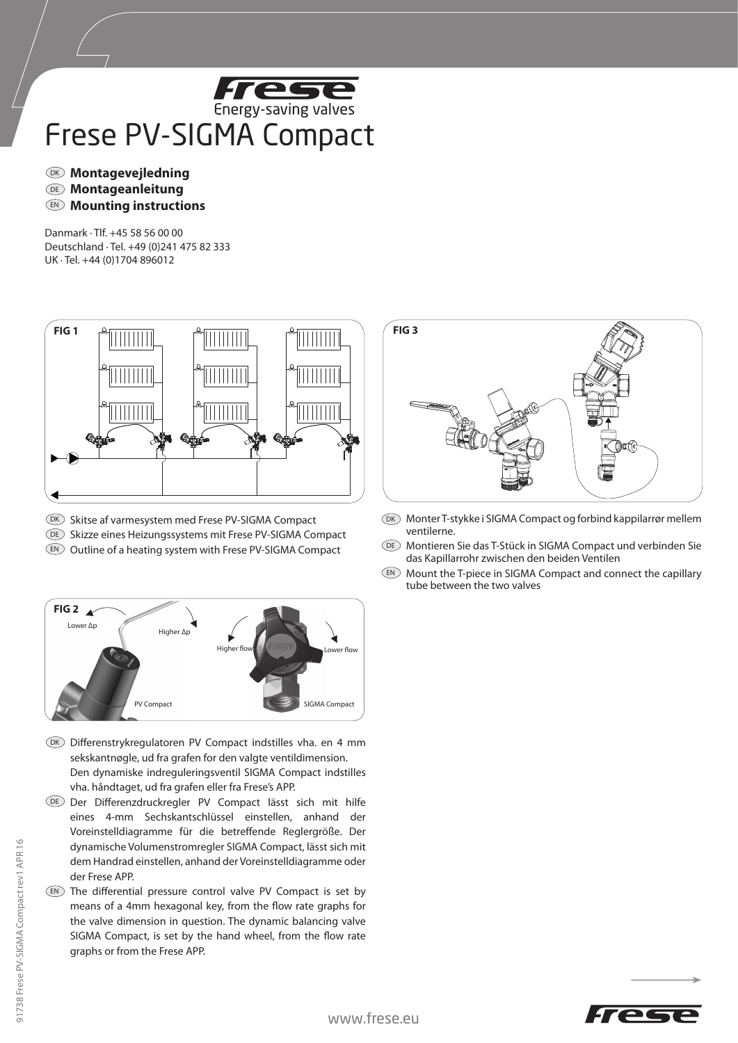## Energy-saving valves Frese PV-SIGMA Compact

## **Montagevejledning** DK **Montageanleitung** DE **Mounting instructions** EN

Danmark · Tlf. +45 58 56 00 00 Deutschland · Tel. +49 (0)241 475 82 333 UK · Tel. +44 (0)1704 896012



- DK) Skitse af varmesystem med Frese PV-SIGMA Compact Skizze eines Heizungssystems mit Frese PV-SIGMA Compact DE
- $\textnormal{\texttt{EN}}\textnormal{ }$  Outline of a heating system with Frese PV-SIGMA Compact



- $\overline{\text{DK}}$  Differenstrykregulatoren PV Compact indstilles vha. en 4 mm sekskantnøgle, ud fra grafen for den valgte ventildimension. Den dynamiske indreguleringsventil SIGMA Compact indstilles vha. håndtaget, ud fra grafen eller fra Frese's APP.
- DE) Der Differenzdruckregler PV Compact lässt sich mit hilfe eines 4-mm Sechskantschlüssel einstellen, anhand der Voreinstelldiagramme für die betreffende Reglergröße. Der dynamische Volumenstromregler SIGMA Compact, lässt sich mit dem Handrad einstellen, anhand der Voreinstelldiagramme oder der Frese APP.
- $\mathbb{E}$  The differential pressure control valve PV Compact is set by means of a 4mm hexagonal key, from the flow rate graphs for the valve dimension in question. The dynamic balancing valve SIGMA Compact, is set by the hand wheel, from the flow rate graphs or from the Frese APP.



- DK Monter T-stykke i SIGMA Compact og forbind kappilarrør mellem ventilerne.
- Montieren Sie das T-Stück in SIGMA Compact und verbinden Sie DE das Kapillarrohr zwischen den beiden Ventilen
- $\mathbb{E}$  Mount the T-piece in SIGMA Compact and connect the capillary tube between the two valves

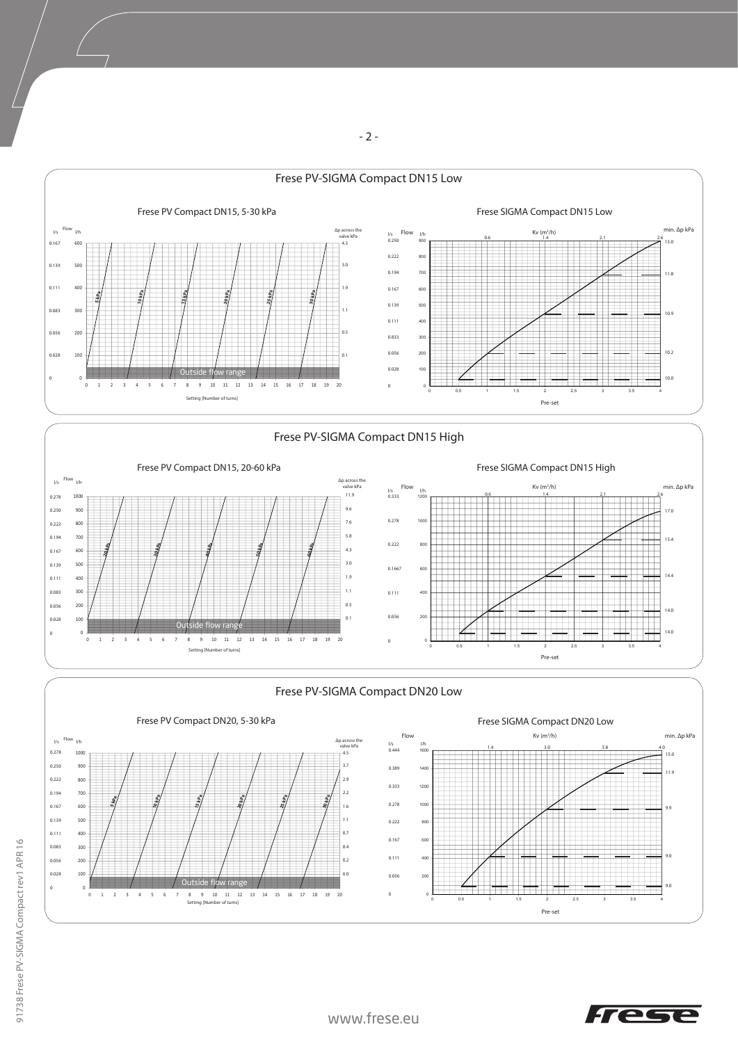

- 2 -

fese

 $\overline{9}$ 

Pre-set

0 0.5 1 1.5 2 2.5 3 3.5 4

www.frese.eu

 $\mathbf 0$ <sub>20</sub>

 $0.056$ 0

0.0

0 100

0.028 0

0 1 2345 6 7 8 9 10 11 12 13 14 15 16 17 18 19 20

Outside flow range

Setting [Number of turns]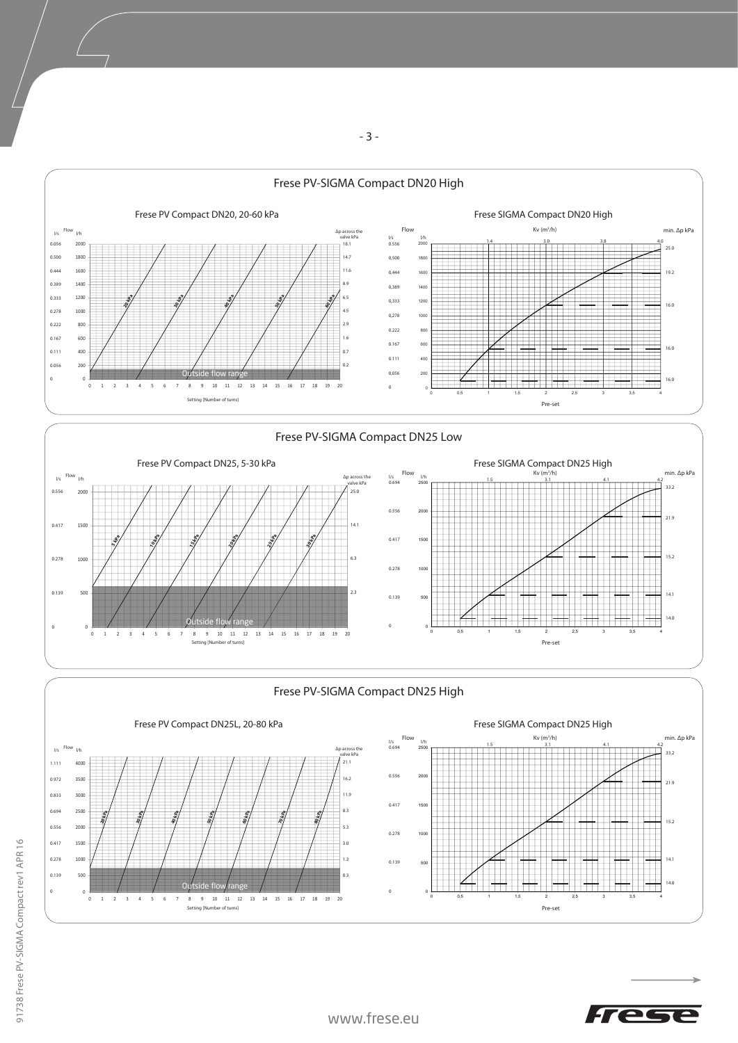

- 3 -